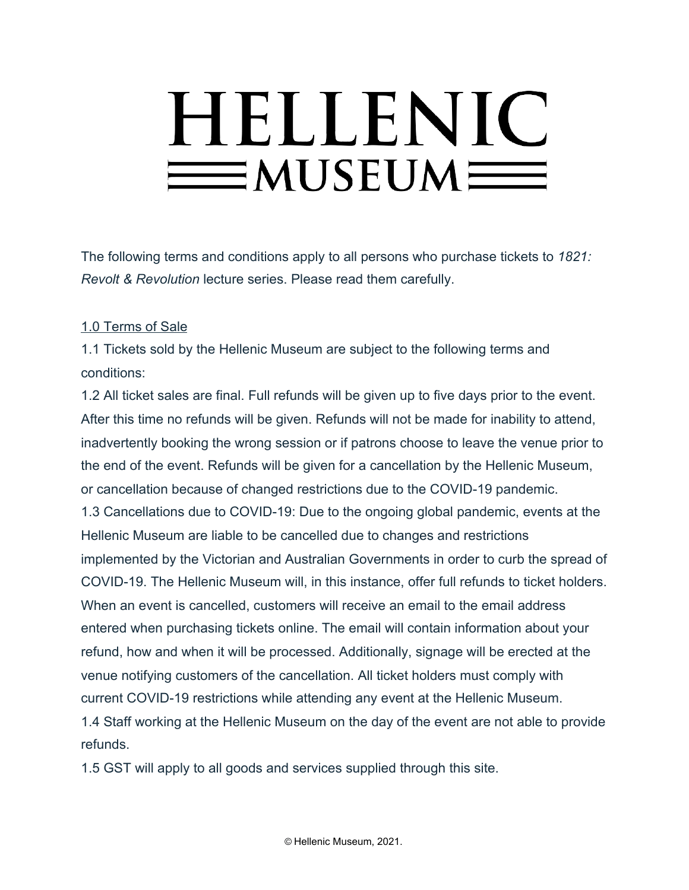# HELLENIC  $=$ MUSEUM $=$

The following terms and conditions apply to all persons who purchase tickets to *1821: Revolt & Revolution* lecture series. Please read them carefully.

## 1.0 Terms of Sale

1.1 Tickets sold by the Hellenic Museum are subject to the following terms and conditions:

1.2 All ticket sales are final. Full refunds will be given up to five days prior to the event. After this time no refunds will be given. Refunds will not be made for inability to attend, inadvertently booking the wrong session or if patrons choose to leave the venue prior to the end of the event. Refunds will be given for a cancellation by the Hellenic Museum, or cancellation because of changed restrictions due to the COVID-19 pandemic. 1.3 Cancellations due to COVID-19: Due to the ongoing global pandemic, events at the Hellenic Museum are liable to be cancelled due to changes and restrictions implemented by the Victorian and Australian Governments in order to curb the spread of COVID-19. The Hellenic Museum will, in this instance, offer full refunds to ticket holders. When an event is cancelled, customers will receive an email to the email address entered when purchasing tickets online. The email will contain information about your refund, how and when it will be processed. Additionally, signage will be erected at the venue notifying customers of the cancellation. All ticket holders must comply with current COVID-19 restrictions while attending any event at the Hellenic Museum. 1.4 Staff working at the Hellenic Museum on the day of the event are not able to provide refunds.

1.5 GST will apply to all goods and services supplied through this site.